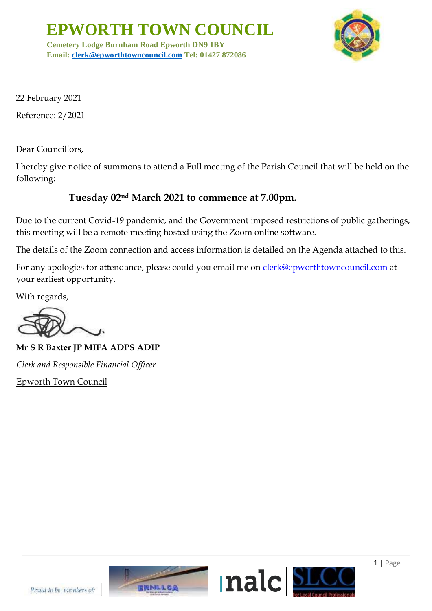**EPWORTH TOWN COUNCIL**

**Cemetery Lodge Burnham Road Epworth DN9 1BY Email: [clerk@epworthtowncouncil.com](mailto:clerk@epworthtowncouncil.com) Tel: 01427 872086**



22 February 2021

Reference: 2/2021

Dear Councillors,

I hereby give notice of summons to attend a Full meeting of the Parish Council that will be held on the following:

## **Tuesday 02 nd March 2021 to commence at 7.00pm.**

Due to the current Covid-19 pandemic, and the Government imposed restrictions of public gatherings, this meeting will be a remote meeting hosted using the Zoom online software.

The details of the Zoom connection and access information is detailed on the Agenda attached to this.

For any apologies for attendance, please could you email me on clerk@epworthtowncouncil.com at your earliest opportunity.

With regards,

**Mr S R Baxter JP MIFA ADPS ADIP**  *Clerk and Responsible Financial Officer*  Epworth Town Council

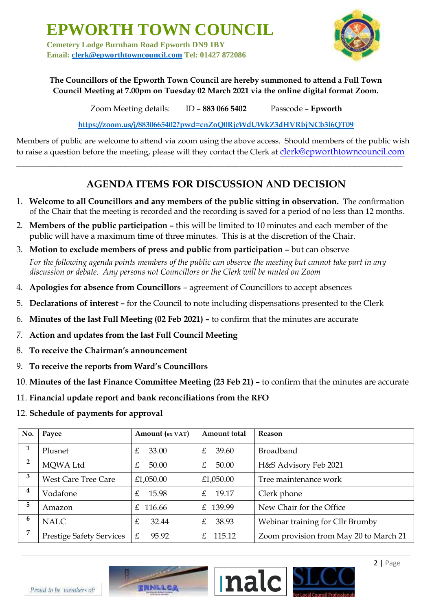**EPWORTH TOWN COUNCIL**

**Cemetery Lodge Burnham Road Epworth DN9 1BY Email: [clerk@epworthtowncouncil.com](mailto:clerk@epworthtowncouncil.com) Tel: 01427 872086**



## **The Councillors of the Epworth Town Council are hereby summoned to attend a Full Town Council Meeting at 7.00pm on Tuesday 02 March 2021 via the online digital format Zoom.**

Zoom Meeting details: ID – **883 066 5402** Passcode – **Epworth**

**<https://zoom.us/j/8830665402?pwd=cnZoQ0RjcWdUWkZ3dHVRbjNCb3l6QT09>**

Members of public are welcome to attend via zoom using the above access. Should members of the public wish to raise a question before the meeting, please will they contact the Clerk at clerk@epworthtowncouncil.com

**\_\_\_\_\_\_\_\_\_\_\_\_\_\_\_\_\_\_\_\_\_\_\_\_\_\_\_\_\_\_\_\_\_\_\_\_\_\_\_\_\_\_\_\_\_\_\_\_\_\_\_\_\_\_\_\_\_\_\_\_\_\_\_\_\_\_\_\_\_\_\_\_\_\_\_\_\_\_\_\_\_\_\_\_\_\_\_\_\_\_\_\_\_\_\_\_\_\_\_\_\_\_\_\_\_\_\_\_\_\_\_\_\_\_\_\_\_\_\_\_\_\_\_\_\_\_\_\_\_\_\_\_\_\_\_\_\_\_\_\_\_\_\_\_\_\_\_\_\_\_\_\_** 

## **AGENDA ITEMS FOR DISCUSSION AND DECISION**

- 1. **Welcome to all Councillors and any members of the public sitting in observation.** The confirmation of the Chair that the meeting is recorded and the recording is saved for a period of no less than 12 months.
- 2. **Members of the public participation –** this will be limited to 10 minutes and each member of the public will have a maximum time of three minutes. This is at the discretion of the Chair.
- 3. **Motion to exclude members of press and public from participation –** but can observe *For the following agenda points members of the public can observe the meeting but cannot take part in any discussion or debate. Any persons not Councillors or the Clerk will be muted on Zoom*
- 4. **Apologies for absence from Councillors**  agreement of Councillors to accept absences
- 5. **Declarations of interest –** for the Council to note including dispensations presented to the Clerk
- 6. **Minutes of the last Full Meeting (02 Feb 2021) –** to confirm that the minutes are accurate
- 7. **Action and updates from the last Full Council Meeting**
- 8. **To receive the Chairman's announcement**
- 9. **To receive the reports from Ward's Councillors**
- 10. **Minutes of the last Finance Committee Meeting (23 Feb 21) –** to confirm that the minutes are accurate
- 11. **Financial update report and bank reconciliations from the RFO**
- 12. **Schedule of payments for approval**

| No.            | Payee                           | Amount (ex VAT) | Amount total             | Reason                                 |
|----------------|---------------------------------|-----------------|--------------------------|----------------------------------------|
| 1              | Plusnet                         | £<br>33.00      | £<br>39.60               | <b>Broadband</b>                       |
| $\overline{2}$ | MOWA Ltd                        | 50.00<br>£      | £<br>50.00               | H&S Advisory Feb 2021                  |
| 3              | <b>West Care Tree Care</b>      | £1,050.00       | £1,050.00                | Tree maintenance work                  |
| 4              | Vodafone                        | 15.98<br>£      | 19.17<br>£.              | Clerk phone                            |
| 5              | Amazon                          | 116.66<br>£.    | £ 139.99                 | New Chair for the Office               |
| 6              | <b>NALC</b>                     | 32.44<br>£      | 38.93<br>$\mathcal{F}_1$ | Webinar training for Cllr Brumby       |
| 7              | <b>Prestige Safety Services</b> | 95.92<br>£      | 115.12<br>$f_{\cdot}$    | Zoom provision from May 20 to March 21 |